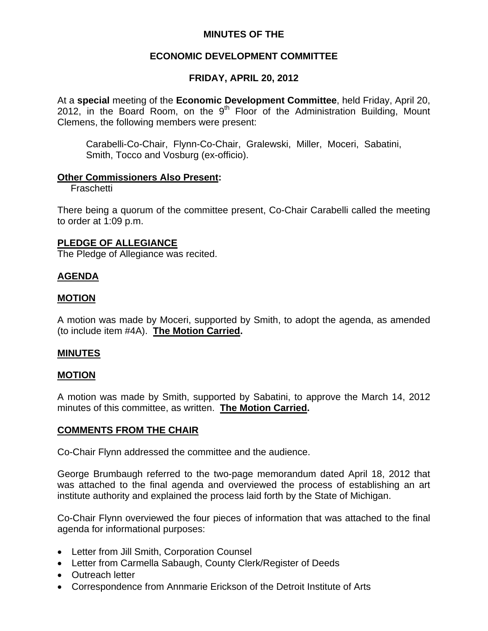# **MINUTES OF THE**

# **ECONOMIC DEVELOPMENT COMMITTEE**

# **FRIDAY, APRIL 20, 2012**

At a **special** meeting of the **Economic Development Committee**, held Friday, April 20, 2012, in the Board Room, on the  $9<sup>th</sup>$  Floor of the Administration Building, Mount Clemens, the following members were present:

Carabelli-Co-Chair, Flynn-Co-Chair, Gralewski, Miller, Moceri, Sabatini, Smith, Tocco and Vosburg (ex-officio).

## **Other Commissioners Also Present:**

Fraschetti

There being a quorum of the committee present, Co-Chair Carabelli called the meeting to order at 1:09 p.m.

## **PLEDGE OF ALLEGIANCE**

The Pledge of Allegiance was recited.

## **AGENDA**

## **MOTION**

A motion was made by Moceri, supported by Smith, to adopt the agenda, as amended (to include item #4A). **The Motion Carried.** 

## **MINUTES**

## **MOTION**

A motion was made by Smith, supported by Sabatini, to approve the March 14, 2012 minutes of this committee, as written. **The Motion Carried.** 

## **COMMENTS FROM THE CHAIR**

Co-Chair Flynn addressed the committee and the audience.

George Brumbaugh referred to the two-page memorandum dated April 18, 2012 that was attached to the final agenda and overviewed the process of establishing an art institute authority and explained the process laid forth by the State of Michigan.

Co-Chair Flynn overviewed the four pieces of information that was attached to the final agenda for informational purposes:

- Letter from Jill Smith, Corporation Counsel
- Letter from Carmella Sabaugh, County Clerk/Register of Deeds
- Outreach letter
- Correspondence from Annmarie Erickson of the Detroit Institute of Arts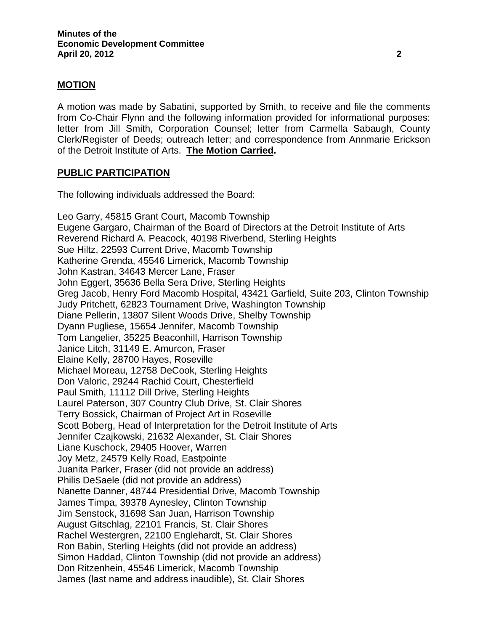## **MOTION**

A motion was made by Sabatini, supported by Smith, to receive and file the comments from Co-Chair Flynn and the following information provided for informational purposes: letter from Jill Smith, Corporation Counsel; letter from Carmella Sabaugh, County Clerk/Register of Deeds; outreach letter; and correspondence from Annmarie Erickson of the Detroit Institute of Arts. **The Motion Carried.** 

## **PUBLIC PARTICIPATION**

The following individuals addressed the Board:

Leo Garry, 45815 Grant Court, Macomb Township Eugene Gargaro, Chairman of the Board of Directors at the Detroit Institute of Arts Reverend Richard A. Peacock, 40198 Riverbend, Sterling Heights Sue Hiltz, 22593 Current Drive, Macomb Township Katherine Grenda, 45546 Limerick, Macomb Township John Kastran, 34643 Mercer Lane, Fraser John Eggert, 35636 Bella Sera Drive, Sterling Heights Greg Jacob, Henry Ford Macomb Hospital, 43421 Garfield, Suite 203, Clinton Township Judy Pritchett, 62823 Tournament Drive, Washington Township Diane Pellerin, 13807 Silent Woods Drive, Shelby Township Dyann Pugliese, 15654 Jennifer, Macomb Township Tom Langelier, 35225 Beaconhill, Harrison Township Janice Litch, 31149 E. Amurcon, Fraser Elaine Kelly, 28700 Hayes, Roseville Michael Moreau, 12758 DeCook, Sterling Heights Don Valoric, 29244 Rachid Court, Chesterfield Paul Smith, 11112 Dill Drive, Sterling Heights Laurel Paterson, 307 Country Club Drive, St. Clair Shores Terry Bossick, Chairman of Project Art in Roseville Scott Boberg, Head of Interpretation for the Detroit Institute of Arts Jennifer Czajkowski, 21632 Alexander, St. Clair Shores Liane Kuschock, 29405 Hoover, Warren Joy Metz, 24579 Kelly Road, Eastpointe Juanita Parker, Fraser (did not provide an address) Philis DeSaele (did not provide an address) Nanette Danner, 48744 Presidential Drive, Macomb Township James Timpa, 39378 Aynesley, Clinton Township Jim Senstock, 31698 San Juan, Harrison Township August Gitschlag, 22101 Francis, St. Clair Shores Rachel Westergren, 22100 Englehardt, St. Clair Shores Ron Babin, Sterling Heights (did not provide an address) Simon Haddad, Clinton Township (did not provide an address) Don Ritzenhein, 45546 Limerick, Macomb Township James (last name and address inaudible), St. Clair Shores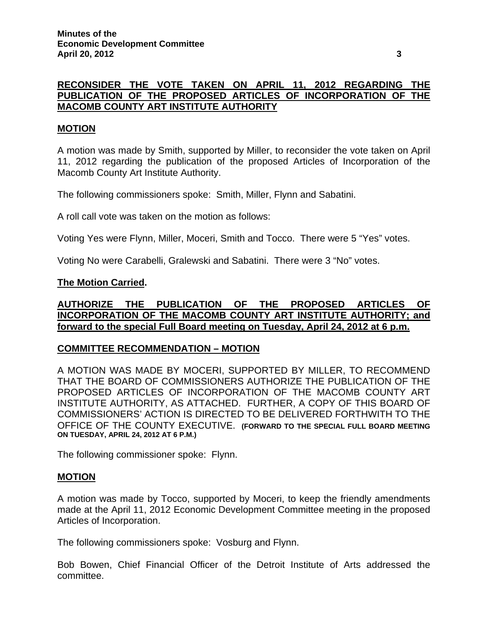# **RECONSIDER THE VOTE TAKEN ON APRIL 11, 2012 REGARDING THE PUBLICATION OF THE PROPOSED ARTICLES OF INCORPORATION OF THE MACOMB COUNTY ART INSTITUTE AUTHORITY**

## **MOTION**

A motion was made by Smith, supported by Miller, to reconsider the vote taken on April 11, 2012 regarding the publication of the proposed Articles of Incorporation of the Macomb County Art Institute Authority.

The following commissioners spoke: Smith, Miller, Flynn and Sabatini.

A roll call vote was taken on the motion as follows:

Voting Yes were Flynn, Miller, Moceri, Smith and Tocco. There were 5 "Yes" votes.

Voting No were Carabelli, Gralewski and Sabatini. There were 3 "No" votes.

#### **The Motion Carried.**

**AUTHORIZE THE PUBLICATION OF THE PROPOSED ARTICLES OF INCORPORATION OF THE MACOMB COUNTY ART INSTITUTE AUTHORITY; and forward to the special Full Board meeting on Tuesday, April 24, 2012 at 6 p.m.**

### **COMMITTEE RECOMMENDATION – MOTION**

A MOTION WAS MADE BY MOCERI, SUPPORTED BY MILLER, TO RECOMMEND THAT THE BOARD OF COMMISSIONERS AUTHORIZE THE PUBLICATION OF THE PROPOSED ARTICLES OF INCORPORATION OF THE MACOMB COUNTY ART INSTITUTE AUTHORITY, AS ATTACHED. FURTHER, A COPY OF THIS BOARD OF COMMISSIONERS' ACTION IS DIRECTED TO BE DELIVERED FORTHWITH TO THE OFFICE OF THE COUNTY EXECUTIVE. **(FORWARD TO THE SPECIAL FULL BOARD MEETING ON TUESDAY, APRIL 24, 2012 AT 6 P.M.)** 

The following commissioner spoke: Flynn.

### **MOTION**

A motion was made by Tocco, supported by Moceri, to keep the friendly amendments made at the April 11, 2012 Economic Development Committee meeting in the proposed Articles of Incorporation.

The following commissioners spoke: Vosburg and Flynn.

Bob Bowen, Chief Financial Officer of the Detroit Institute of Arts addressed the committee.